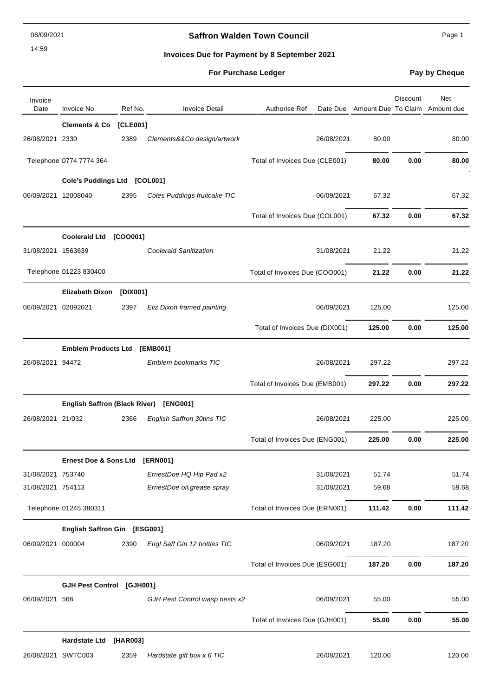14:59

# **Saffron Walden Town Council** Manual Page 1

# **Invoices Due for Payment by 8 September 2021**

# **For Purchase Ledger Pay by Cheque**

| Invoice<br>Date    | Invoice No.                    | Ref No.  | <b>Invoice Detail</b>                  | <b>Authorise Ref</b>           | Date Due Amount Due To Claim Amount due | <b>Discount</b> | Net    |
|--------------------|--------------------------------|----------|----------------------------------------|--------------------------------|-----------------------------------------|-----------------|--------|
|                    | <b>Clements &amp; Co</b>       | [CLE001] |                                        |                                |                                         |                 |        |
| 26/08/2021 2330    |                                | 2389     | Clements&&Co design/artwork            | 26/08/2021                     | 80.00                                   |                 | 80.00  |
|                    | Telephone 0774 7774 364        |          |                                        | Total of Invoices Due (CLE001) | 80.00                                   | 0.00            | 80.00  |
|                    | Cole's Puddings Ltd [COL001]   |          |                                        |                                |                                         |                 |        |
|                    | 06/09/2021 12008040            | 2395     | Coles Puddings fruitcake TIC           | 06/09/2021                     | 67.32                                   |                 | 67.32  |
|                    |                                |          |                                        | Total of Invoices Due (COL001) | 67.32                                   | 0.00            | 67.32  |
|                    | Cooleraid Ltd [COO001]         |          |                                        |                                |                                         |                 |        |
| 31/08/2021 1563639 |                                |          | <b>Cooleraid Sanitization</b>          | 31/08/2021                     | 21.22                                   |                 | 21.22  |
|                    | Telephone 01223 830400         |          |                                        | Total of Invoices Due (COO001) | 21.22                                   | 0.00            | 21.22  |
|                    | <b>Elizabeth Dixon</b>         | [DIX001] |                                        |                                |                                         |                 |        |
|                    | 06/09/2021 02092021            | 2397     | Eliz Dixon framed painting             | 06/09/2021                     | 125.00                                  |                 | 125.00 |
|                    |                                |          |                                        | Total of Invoices Due (DIX001) | 125.00                                  | 0.00            | 125.00 |
|                    | <b>Emblem Products Ltd</b>     |          | [EMB001]                               |                                |                                         |                 |        |
| 26/08/2021 94472   |                                |          | Emblem bookmarks TIC                   | 26/08/2021                     | 297.22                                  |                 | 297.22 |
|                    |                                |          |                                        | Total of Invoices Due (EMB001) | 297.22                                  | 0.00            | 297.22 |
|                    |                                |          | English Saffron (Black River) [ENG001] |                                |                                         |                 |        |
| 26/08/2021 21/032  |                                | 2366     | English Saffron 30tins TIC             | 26/08/2021                     | 225.00                                  |                 | 225.00 |
|                    |                                |          |                                        | Total of Invoices Due (ENG001) | 225.00                                  | 0.00            | 225.00 |
|                    | Ernest Doe & Sons Ltd [ERN001] |          |                                        |                                |                                         |                 |        |
| 31/08/2021 753740  |                                |          | ErnestDoe HQ Hip Pad x2                | 31/08/2021                     | 51.74                                   |                 | 51.74  |
| 31/08/2021 754113  |                                |          | ErnestDoe oil, grease spray            | 31/08/2021                     | 59.68                                   |                 | 59.68  |
|                    | Telephone 01245 380311         |          |                                        | Total of Invoices Due (ERN001) | 111.42                                  | 0.00            | 111.42 |
|                    | English Saffron Gin [ESG001]   |          |                                        |                                |                                         |                 |        |
| 06/09/2021 000004  |                                | 2390     | Engl Saff Gin 12 bottles TIC           | 06/09/2021                     | 187.20                                  |                 | 187.20 |
|                    |                                |          |                                        | Total of Invoices Due (ESG001) | 187.20                                  | 0.00            | 187.20 |
|                    | <b>GJH Pest Control</b>        | [GJH001] |                                        |                                |                                         |                 |        |
| 06/09/2021 566     |                                |          | GJH Pest Control wasp nests x2         | 06/09/2021                     | 55.00                                   |                 | 55.00  |
|                    |                                |          |                                        | Total of Invoices Due (GJH001) | 55.00                                   | 0.00            | 55.00  |
|                    | <b>Hardstate Ltd</b>           | [HAR003] |                                        |                                |                                         |                 |        |
|                    | 26/08/2021 SWTC003             | 2359     | Hardstate gift box x 6 TIC             | 26/08/2021                     | 120.00                                  |                 | 120.00 |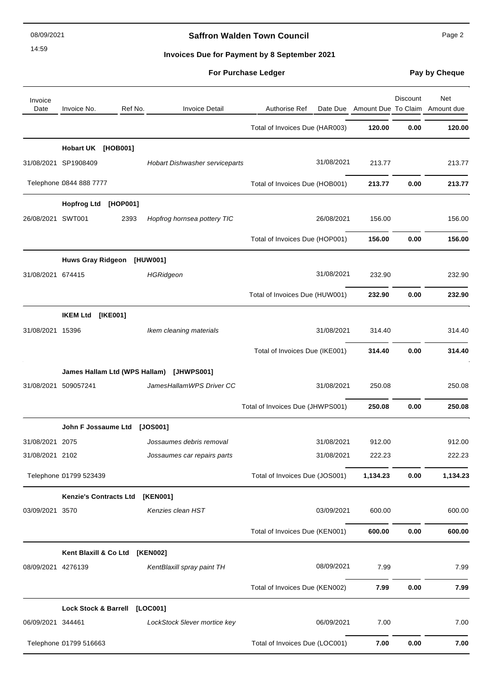08/09/2021

14:59

# **Saffron Walden Town Council Page 2** Page 2

**Invoices Due for Payment by 8 September 2021**

| <b>For Purchase Ledger</b> |
|----------------------------|
|----------------------------|

**Pay by Cheque** 

| Invoice<br>Date    | Invoice No.                     | Ref No.<br><b>Invoice Detail</b>         | <b>Authorise Ref</b>             |          | <b>Discount</b> | Net<br>Date Due Amount Due To Claim Amount due |
|--------------------|---------------------------------|------------------------------------------|----------------------------------|----------|-----------------|------------------------------------------------|
|                    |                                 |                                          | Total of Invoices Due (HAR003)   | 120.00   | 0.00            | 120.00                                         |
|                    | Hobart UK [HOB001]              |                                          |                                  |          |                 |                                                |
|                    | 31/08/2021 SP1908409            | Hobart Dishwasher serviceparts           | 31/08/2021                       | 213.77   |                 | 213.77                                         |
|                    | Telephone 0844 888 7777         |                                          | Total of Invoices Due (HOB001)   | 213.77   | 0.00            | 213.77                                         |
|                    | <b>Hopfrog Ltd</b><br>[HOP001]  |                                          |                                  |          |                 |                                                |
| 26/08/2021 SWT001  | 2393                            | Hopfrog hornsea pottery TIC              | 26/08/2021                       | 156.00   |                 | 156.00                                         |
|                    |                                 |                                          | Total of Invoices Due (HOP001)   | 156.00   | 0.00            | 156.00                                         |
|                    | Huws Gray Ridgeon [HUW001]      |                                          |                                  |          |                 |                                                |
| 31/08/2021 674415  |                                 | <b>HGRidgeon</b>                         | 31/08/2021                       | 232.90   |                 | 232.90                                         |
|                    |                                 |                                          | Total of Invoices Due (HUW001)   | 232.90   | 0.00            | 232.90                                         |
|                    | <b>IKEM Ltd</b><br>[IKE001]     |                                          |                                  |          |                 |                                                |
| 31/08/2021 15396   |                                 | Ikem cleaning materials                  | 31/08/2021                       | 314.40   |                 | 314.40                                         |
|                    |                                 |                                          | Total of Invoices Due (IKE001)   | 314.40   | 0.00            | 314.40                                         |
|                    |                                 | James Hallam Ltd (WPS Hallam) [JHWPS001] |                                  |          |                 |                                                |
|                    | 31/08/2021 509057241            | JamesHallamWPS Driver CC                 | 31/08/2021                       | 250.08   |                 | 250.08                                         |
|                    |                                 |                                          | Total of Invoices Due (JHWPS001) | 250.08   | 0.00            | 250.08                                         |
|                    | John F Jossaume Ltd             | [JOS001]                                 |                                  |          |                 |                                                |
| 31/08/2021 2075    |                                 | Jossaumes debris removal                 | 31/08/2021                       | 912.00   |                 | 912.00                                         |
| 31/08/2021 2102    |                                 | Jossaumes car repairs parts              | 31/08/2021                       | 222.23   |                 | 222.23                                         |
|                    | Telephone 01799 523439          |                                          | Total of Invoices Due (JOS001)   | 1,134.23 | 0.00            | 1,134.23                                       |
|                    | <b>Kenzie's Contracts Ltd</b>   | [KEN001]                                 |                                  |          |                 |                                                |
| 03/09/2021 3570    |                                 | Kenzies clean HST                        | 03/09/2021                       | 600.00   |                 | 600.00                                         |
|                    |                                 |                                          | Total of Invoices Due (KEN001)   | 600.00   | 0.00            | 600.00                                         |
|                    | Kent Blaxill & Co Ltd           | [KEN002]                                 |                                  |          |                 |                                                |
| 08/09/2021 4276139 |                                 | KentBlaxill spray paint TH               | 08/09/2021                       | 7.99     |                 | 7.99                                           |
|                    |                                 |                                          | Total of Invoices Due (KEN002)   | 7.99     | 0.00            | 7.99                                           |
|                    | <b>Lock Stock &amp; Barrell</b> | [LOC001]                                 |                                  |          |                 |                                                |
| 06/09/2021 344461  |                                 | LockStock 5lever mortice key             | 06/09/2021                       | 7.00     |                 | 7.00                                           |
|                    | Telephone 01799 516663          |                                          | Total of Invoices Due (LOC001)   | 7.00     | 0.00            | 7.00                                           |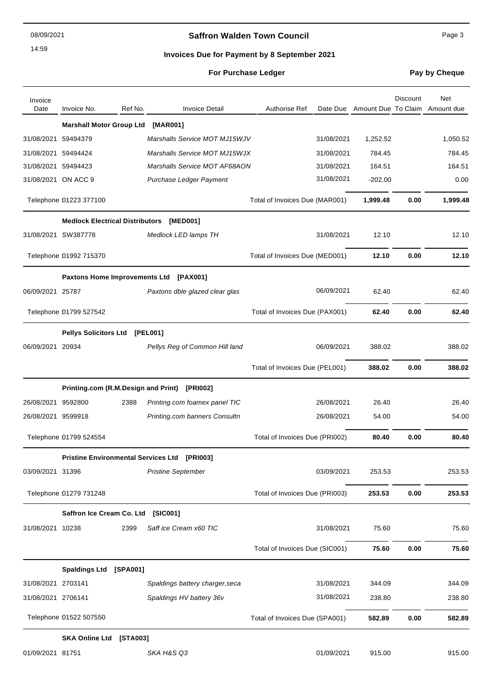08/09/2021

14:59

# **Saffron Walden Town Council Page 3**

### **Invoices Due for Payment by 8 September 2021**

| <b>For Purchase Ledger</b> |  |
|----------------------------|--|
|----------------------------|--|

**Pay by Cheque** 

| Invoice<br>Date     | Invoice No.                            | Ref No.  | <b>Invoice Detail</b>                        | Authorise Ref                  |            | Date Due Amount Due To Claim Amount due | <b>Discount</b> | Net      |
|---------------------|----------------------------------------|----------|----------------------------------------------|--------------------------------|------------|-----------------------------------------|-----------------|----------|
|                     | <b>Marshall Motor Group Ltd</b>        |          | [MAR001]                                     |                                |            |                                         |                 |          |
| 31/08/2021 59494379 |                                        |          | Marshalls Service MOT MJ15WJV                |                                | 31/08/2021 | 1,252.52                                |                 | 1,050.52 |
| 31/08/2021 59494424 |                                        |          | Marshalls Service MOT MJ15WJX                |                                | 31/08/2021 | 784.45                                  |                 | 784.45   |
| 31/08/2021 59494423 |                                        |          | Marshalls Service MOT AF68AON                |                                | 31/08/2021 | 164.51                                  |                 | 164.51   |
|                     | 31/08/2021 ON ACC 9                    |          | Purchase Ledger Payment                      |                                | 31/08/2021 | $-202.00$                               |                 | 0.00     |
|                     | Telephone 01223 377100                 |          |                                              | Total of Invoices Due (MAR001) |            | 1,999.48                                | 0.00            | 1,999.48 |
|                     | <b>Medlock Electrical Distributors</b> |          | [MED001]                                     |                                |            |                                         |                 |          |
|                     | 31/08/2021 SW387778                    |          | Medlock LED lamps TH                         |                                | 31/08/2021 | 12.10                                   |                 | 12.10    |
|                     | Telephone 01992 715370                 |          |                                              | Total of Invoices Due (MED001) |            | 12.10                                   | 0.00            | 12.10    |
|                     |                                        |          | Paxtons Home Improvements Ltd [PAX001]       |                                |            |                                         |                 |          |
| 06/09/2021 25787    |                                        |          | Paxtons dble glazed clear glas               |                                | 06/09/2021 | 62.40                                   |                 | 62.40    |
|                     | Telephone 01799 527542                 |          |                                              | Total of Invoices Due (PAX001) |            | 62.40                                   | 0.00            | 62.40    |
|                     | <b>Pellys Solicitors Ltd</b>           |          | [PEL001]                                     |                                |            |                                         |                 |          |
| 06/09/2021 20934    |                                        |          | Pellys Reg of Common Hill land               |                                | 06/09/2021 | 388.02                                  |                 | 388.02   |
|                     |                                        |          |                                              | Total of Invoices Due (PEL001) |            | 388.02                                  | 0.00            | 388.02   |
|                     |                                        |          | Printing.com (R.M.Design and Print) [PRI002] |                                |            |                                         |                 |          |
| 26/08/2021          | 9592800                                | 2388     | Printing.com foamex panel TIC                |                                | 26/08/2021 | 26.40                                   |                 | 26.40    |
| 26/08/2021 9599918  |                                        |          | Printing.com banners Consultn                |                                | 26/08/2021 | 54.00                                   |                 | 54.00    |
|                     | Telephone 01799 524554                 |          |                                              | Total of Invoices Due (PRI002) |            | 80.40                                   | 0.00            | 80.40    |
|                     |                                        |          | Pristine Environmental Services Ltd [PRI003] |                                |            |                                         |                 |          |
| 03/09/2021 31396    |                                        |          | <b>Pristine September</b>                    |                                | 03/09/2021 | 253.53                                  |                 | 253.53   |
|                     | Telephone 01279 731248                 |          |                                              | Total of Invoices Due (PRI003) |            | 253.53                                  | 0.00            | 253.53   |
|                     | Saffron Ice Cream Co. Ltd              |          | [SIC001]                                     |                                |            |                                         |                 |          |
| 31/08/2021 10238    |                                        | 2399     | Saff ice Cream x60 TIC                       |                                | 31/08/2021 | 75.60                                   |                 | 75.60    |
|                     |                                        |          |                                              | Total of Invoices Due (SIC001) |            | 75.60                                   | 0.00            | 75.60    |
|                     | <b>Spaldings Ltd</b>                   | [SPA001] |                                              |                                |            |                                         |                 |          |
| 31/08/2021 2703141  |                                        |          | Spaldings battery charger, seca              |                                | 31/08/2021 | 344.09                                  |                 | 344.09   |
| 31/08/2021 2706141  |                                        |          | Spaldings HV battery 36v                     |                                | 31/08/2021 | 238.80                                  |                 | 238.80   |
|                     | Telephone 01522 507550                 |          |                                              | Total of Invoices Due (SPA001) |            | 582.89                                  | 0.00            | 582.89   |
|                     | <b>SKA Online Ltd</b>                  | [STA003] |                                              |                                |            |                                         |                 |          |
| 01/09/2021 81751    |                                        |          | SKA H&S Q3                                   |                                | 01/09/2021 | 915.00                                  |                 | 915.00   |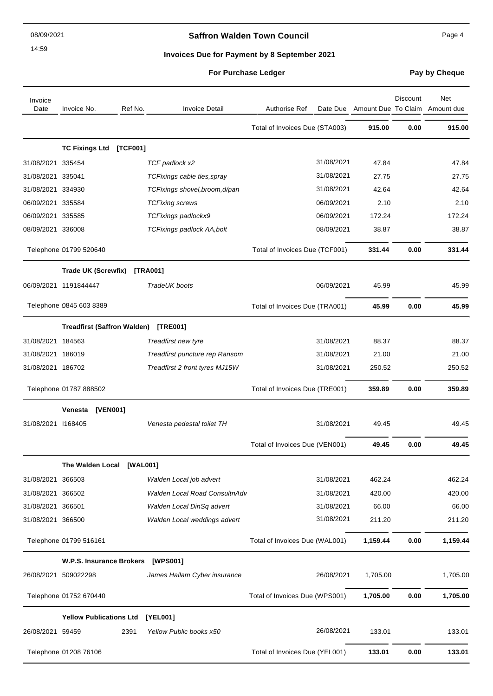08/09/2021

14:59

# **Saffron Walden Town Council** Manual Page 4

# **Invoices Due for Payment by 8 September 2021**

# **For Purchase Ledger Pay by Cheque**

| Invoice<br>Date    | Invoice No.                        | Ref No.  | <b>Invoice Detail</b>                | Authorise Ref                  | Date Due Amount Due To Claim | <b>Discount</b> | Net<br>Amount due |
|--------------------|------------------------------------|----------|--------------------------------------|--------------------------------|------------------------------|-----------------|-------------------|
|                    |                                    |          |                                      | Total of Invoices Due (STA003) | 915.00                       | 0.00            | 915.00            |
|                    | <b>TC Fixings Ltd</b>              | [TCF001] |                                      |                                |                              |                 |                   |
| 31/08/2021 335454  |                                    |          | TCF padlock x2                       | 31/08/2021                     | 47.84                        |                 | 47.84             |
| 31/08/2021 335041  |                                    |          | TCFixings cable ties, spray          | 31/08/2021                     | 27.75                        |                 | 27.75             |
| 31/08/2021 334930  |                                    |          | TCFixings shovel, broom, d/pan       | 31/08/2021                     | 42.64                        |                 | 42.64             |
| 06/09/2021 335584  |                                    |          | <b>TCFixing screws</b>               | 06/09/2021                     | 2.10                         |                 | 2.10              |
| 06/09/2021 335585  |                                    |          | TCFixings padlockx9                  | 06/09/2021                     | 172.24                       |                 | 172.24            |
| 08/09/2021 336008  |                                    |          | <b>TCFixings padlock AA,bolt</b>     | 08/09/2021                     | 38.87                        |                 | 38.87             |
|                    | Telephone 01799 520640             |          |                                      | Total of Invoices Due (TCF001) | 331.44                       | 0.00            | 331.44            |
|                    | Trade UK (Screwfix) [TRA001]       |          |                                      |                                |                              |                 |                   |
|                    | 06/09/2021 1191844447              |          | TradeUK boots                        | 06/09/2021                     | 45.99                        |                 | 45.99             |
|                    | Telephone 0845 603 8389            |          |                                      | Total of Invoices Due (TRA001) | 45.99                        | 0.00            | 45.99             |
|                    | <b>Treadfirst (Saffron Walden)</b> |          | [TRE001]                             |                                |                              |                 |                   |
| 31/08/2021 184563  |                                    |          | Treadfirst new tyre                  | 31/08/2021                     | 88.37                        |                 | 88.37             |
| 31/08/2021 186019  |                                    |          | Treadfirst puncture rep Ransom       | 31/08/2021                     | 21.00                        |                 | 21.00             |
| 31/08/2021 186702  |                                    |          | Treadfirst 2 front tyres MJ15W       | 31/08/2021                     | 250.52                       |                 | 250.52            |
|                    | Telephone 01787 888502             |          |                                      | Total of Invoices Due (TRE001) | 359.89                       | 0.00            | 359.89            |
|                    | [VEN001]<br>Venesta                |          |                                      |                                |                              |                 |                   |
| 31/08/2021 1168405 |                                    |          | Venesta pedestal toilet TH           | 31/08/2021                     | 49.45                        |                 | 49.45             |
|                    |                                    |          |                                      | Total of Invoices Due (VEN001) | 49.45                        | 0.00            | 49.45             |
|                    | The Walden Local                   | [WAL001] |                                      |                                |                              |                 |                   |
| 31/08/2021         | 366503                             |          | Walden Local job advert              | 31/08/2021                     | 462.24                       |                 | 462.24            |
| 31/08/2021 366502  |                                    |          | <b>Walden Local Road ConsultnAdv</b> | 31/08/2021                     | 420.00                       |                 | 420.00            |
| 31/08/2021 366501  |                                    |          | Walden Local DinSq advert            | 31/08/2021                     | 66.00                        |                 | 66.00             |
| 31/08/2021 366500  |                                    |          | Walden Local weddings advert         | 31/08/2021                     | 211.20                       |                 | 211.20            |
|                    | Telephone 01799 516161             |          |                                      | Total of Invoices Due (WAL001) | 1,159.44                     | 0.00            | 1,159.44          |
|                    | <b>W.P.S. Insurance Brokers</b>    |          | [WPS001]                             |                                |                              |                 |                   |
|                    | 26/08/2021 509022298               |          | James Hallam Cyber insurance         | 26/08/2021                     | 1,705.00                     |                 | 1,705.00          |
|                    | Telephone 01752 670440             |          |                                      | Total of Invoices Due (WPS001) | 1,705.00                     | 0.00            | 1,705.00          |
|                    | <b>Yellow Publications Ltd</b>     |          | [YEL001]                             |                                |                              |                 |                   |
| 26/08/2021 59459   |                                    | 2391     | Yellow Public books x50              | 26/08/2021                     | 133.01                       |                 | 133.01            |
|                    | Telephone 01208 76106              |          |                                      | Total of Invoices Due (YEL001) | 133.01                       | 0.00            | 133.01            |